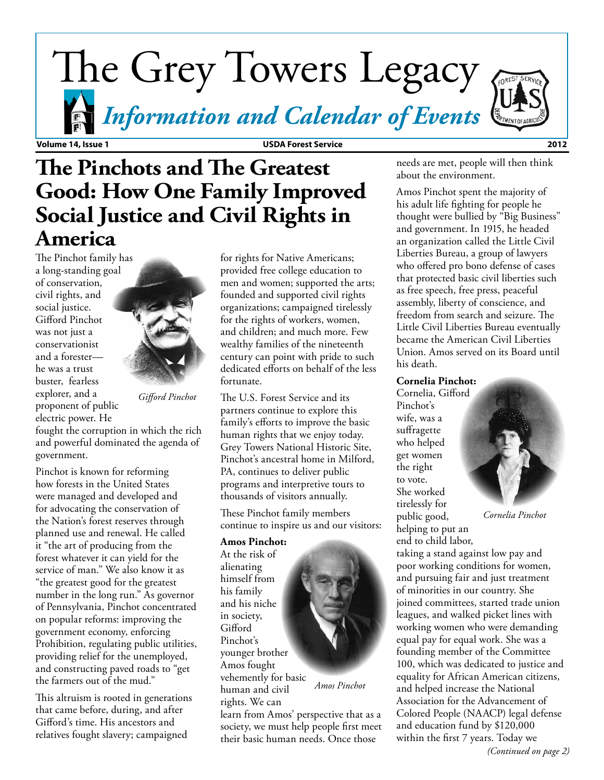# The Grey Towers Legacy

*Information and Calendar of Events*

**Volume 14, Issue 1 USDA Forest Service 2012**

# **The Pinchots and The Greatest Good: How One Family Improved Social Justice and Civil Rights in America**

The Pinchot family has a long-standing goal of conservation, civil rights, and social justice. Gifford Pinchot was not just a conservationist and a forester he was a trust buster, fearless explorer, and a proponent of public electric power. He

*Gifford Pinchot*

fought the corruption in which the rich and powerful dominated the agenda of government.

Pinchot is known for reforming how forests in the United States were managed and developed and for advocating the conservation of the Nation's forest reserves through planned use and renewal. He called it "the art of producing from the forest whatever it can yield for the service of man." We also know it as "the greatest good for the greatest number in the long run." As governor of Pennsylvania, Pinchot concentrated on popular reforms: improving the government economy, enforcing Prohibition, regulating public utilities, providing relief for the unemployed, and constructing paved roads to "get the farmers out of the mud."

This altruism is rooted in generations that came before, during, and after Gifford's time. His ancestors and relatives fought slavery; campaigned

for rights for Native Americans; provided free college education to men and women; supported the arts; founded and supported civil rights organizations; campaigned tirelessly for the rights of workers, women, and children; and much more. Few wealthy families of the nineteenth century can point with pride to such dedicated efforts on behalf of the less fortunate.

The U.S. Forest Service and its partners continue to explore this family's efforts to improve the basic human rights that we enjoy today. Grey Towers National Historic Site, Pinchot's ancestral home in Milford, PA, continues to deliver public programs and interpretive tours to thousands of visitors annually.

These Pinchot family members continue to inspire us and our visitors:

#### **Amos Pinchot:**

At the risk of alienating himself from his family and his niche in society, **Gifford** Pinchot's younger brother Amos fought vehemently for basic human and civil rights. We can

learn from Amos' perspective that as a society, we must help people first meet their basic human needs. Once those

needs are met, people will then think about the environment.

Amos Pinchot spent the majority of his adult life fighting for people he thought were bullied by "Big Business" and government. In 1915, he headed an organization called the Little Civil Liberties Bureau, a group of lawyers who offered pro bono defense of cases that protected basic civil liberties such as free speech, free press, peaceful assembly, liberty of conscience, and freedom from search and seizure. The Little Civil Liberties Bureau eventually became the American Civil Liberties Union. Amos served on its Board until his death.

### **Cornelia Pinchot:**

Cornelia, Gifford Pinchot's wife, was a suffragette who helped get women the right to vote. She worked tirelessly for public good, helping to put an

*Cornelia Pinchot*

end to child labor, taking a stand against low pay and poor working conditions for women, and pursuing fair and just treatment of minorities in our country. She joined committees, started trade union leagues, and walked picket lines with working women who were demanding equal pay for equal work. She was a founding member of the Committee 100, which was dedicated to justice and equality for African American citizens, and helped increase the National Association for the Advancement of Colored People (NAACP) legal defense and education fund by \$120,000 within the first 7 years. Today we





 *Amos Pinchot*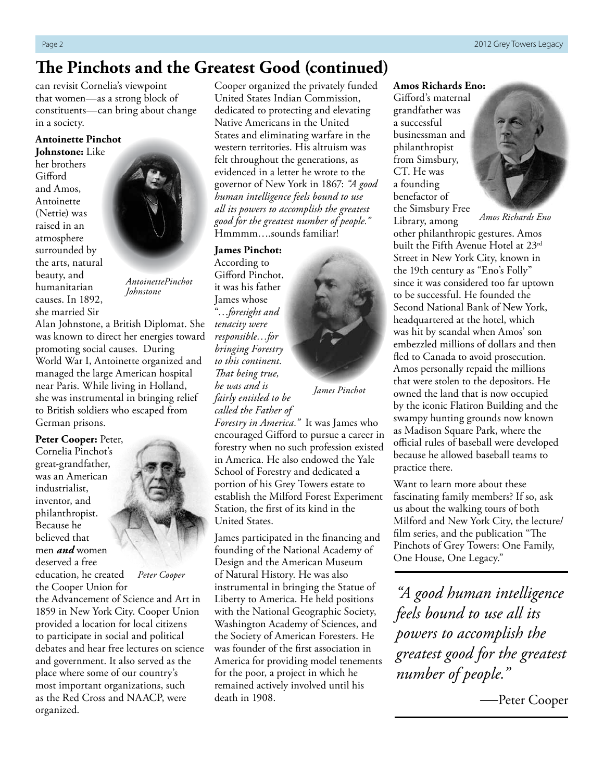### **The Pinchots and the Greatest Good (continued)**

can revisit Cornelia's viewpoint that women—as a strong block of constituents—can bring about change in a society.

### **Antoinette Pinchot Johnstone:** Like

her brothers Gifford and Amos, Antoinette (Nettie) was raised in an atmosphere surrounded by the arts, natural beauty, and humanitarian causes. In 1892, she married Sir



*AntoinettePinchot Johnstone*

Alan Johnstone, a British Diplomat. She was known to direct her energies toward promoting social causes. During World War I, Antoinette organized and managed the large American hospital near Paris. While living in Holland, she was instrumental in bringing relief to British soldiers who escaped from German prisons.

**Peter Cooper:** Peter, Cornelia Pinchot's great-grandfather, was an American industrialist, inventor, and philanthropist. Because he believed that men *and* women deserved a free education, he created



*Peter Cooper*

the Cooper Union for the Advancement of Science and Art in 1859 in New York City. Cooper Union provided a location for local citizens to participate in social and political debates and hear free lectures on science and government. It also served as the place where some of our country's most important organizations, such as the Red Cross and NAACP, were organized.

Cooper organized the privately funded United States Indian Commission, dedicated to protecting and elevating Native Americans in the United States and eliminating warfare in the western territories. His altruism was felt throughout the generations, as evidenced in a letter he wrote to the governor of New York in 1867: *"A good human intelligence feels bound to use all its powers to accomplish the greatest good for the greatest number of people."* Hmmmm….sounds familiar!

#### **James Pinchot:**

According to Gifford Pinchot, it was his father James whose "…*foresight and tenacity were responsible…for bringing Forestry to this continent. That being true, he was and is fairly entitled to be called the Father of* 



*James Pinchot*

*Forestry in America."* It was James who encouraged Gifford to pursue a career in forestry when no such profession existed in America. He also endowed the Yale School of Forestry and dedicated a portion of his Grey Towers estate to establish the Milford Forest Experiment Station, the first of its kind in the United States.

James participated in the financing and founding of the National Academy of Design and the American Museum of Natural History. He was also instrumental in bringing the Statue of Liberty to America. He held positions with the National Geographic Society, Washington Academy of Sciences, and the Society of American Foresters. He was founder of the first association in America for providing model tenements for the poor, a project in which he remained actively involved until his death in 1908.

### **Amos Richards Eno:**

Gifford's maternal grandfather was a successful businessman and philanthropist from Simsbury, CT. He was a founding benefactor of the Simsbury Free



*Amos Richards Eno*

Library, among other philanthropic gestures. Amos built the Fifth Avenue Hotel at 23rd Street in New York City, known in the 19th century as "Eno's Folly" since it was considered too far uptown to be successful. He founded the Second National Bank of New York, headquartered at the hotel, which was hit by scandal when Amos' son embezzled millions of dollars and then fled to Canada to avoid prosecution. Amos personally repaid the millions that were stolen to the depositors. He owned the land that is now occupied by the iconic Flatiron Building and the swampy hunting grounds now known as Madison Square Park, where the official rules of baseball were developed because he allowed baseball teams to practice there.

Want to learn more about these fascinating family members? If so, ask us about the walking tours of both Milford and New York City, the lecture/ film series, and the publication "The Pinchots of Grey Towers: One Family, One House, One Legacy."

*"A good human intelligence feels bound to use all its powers to accomplish the greatest good for the greatest number of people."*

 *—*Peter Cooper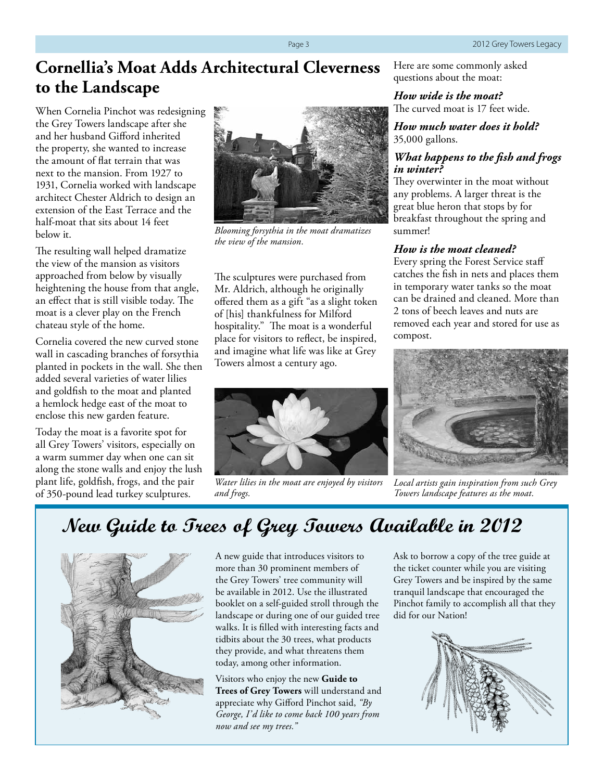# **Cornellia's Moat Adds Architectural Cleverness to the Landscape**

When Cornelia Pinchot was redesigning the Grey Towers landscape after she and her husband Gifford inherited the property, she wanted to increase the amount of flat terrain that was next to the mansion. From 1927 to 1931, Cornelia worked with landscape architect Chester Aldrich to design an extension of the East Terrace and the half-moat that sits about 14 feet below it.

The resulting wall helped dramatize the view of the mansion as visitors approached from below by visually heightening the house from that angle, an effect that is still visible today. The moat is a clever play on the French chateau style of the home.

Cornelia covered the new curved stone wall in cascading branches of forsythia planted in pockets in the wall. She then added several varieties of water lilies and goldfish to the moat and planted a hemlock hedge east of the moat to enclose this new garden feature.

Today the moat is a favorite spot for all Grey Towers' visitors, especially on a warm summer day when one can sit along the stone walls and enjoy the lush plant life, goldfish, frogs, and the pair of 350-pound lead turkey sculptures.



*Blooming forsythia in the moat dramatizes the view of the mansion.*

The sculptures were purchased from Mr. Aldrich, although he originally offered them as a gift "as a slight token of [his] thankfulness for Milford hospitality." The moat is a wonderful place for visitors to reflect, be inspired, and imagine what life was like at Grey Towers almost a century ago.



*Water lilies in the moat are enjoyed by visitors and frogs.*

Here are some commonly asked questions about the moat:

#### *How wide is the moat?* The curved moat is 17 feet wide.

*How much water does it hold?*

35,000 gallons.

#### *What happens to the fish and frogs in winter?*

They overwinter in the moat without any problems. A larger threat is the great blue heron that stops by for breakfast throughout the spring and summer!

### *How is the moat cleaned?*

Every spring the Forest Service staff catches the fish in nets and places them in temporary water tanks so the moat can be drained and cleaned. More than 2 tons of beech leaves and nuts are removed each year and stored for use as compost.



*Local artists gain inspiration from such Grey Towers landscape features as the moat.*

# **New Guide to Trees of Grey Towers Available in 2012**



A new guide that introduces visitors to more than 30 prominent members of the Grey Towers' tree community will be available in 2012. Use the illustrated booklet on a self-guided stroll through the landscape or during one of our guided tree walks. It is filled with interesting facts and tidbits about the 30 trees, what products they provide, and what threatens them today, among other information.

Visitors who enjoy the new **Guide to Trees of Grey Towers** will understand and appreciate why Gifford Pinchot said, *"By George, I'd like to come back 100 years from now and see my trees."*

Ask to borrow a copy of the tree guide at the ticket counter while you are visiting Grey Towers and be inspired by the same tranquil landscape that encouraged the Pinchot family to accomplish all that they did for our Nation!

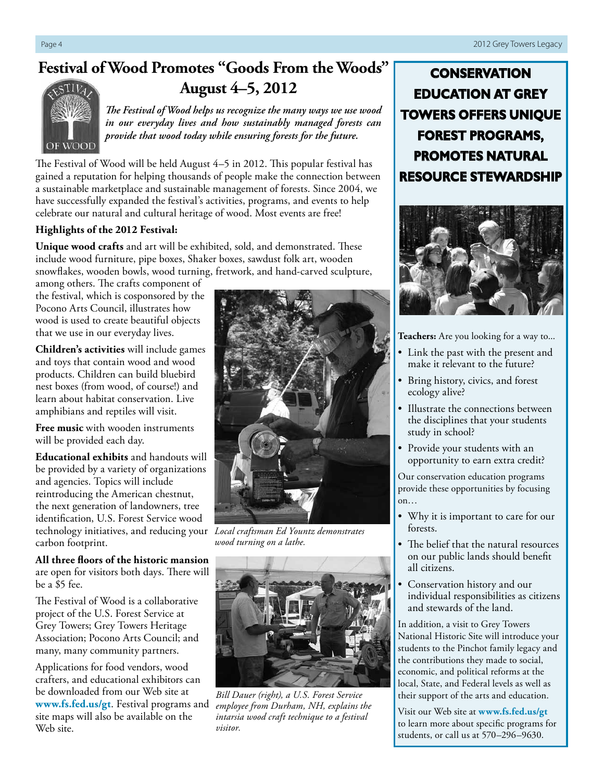## **Festival of Wood Promotes "Goods From the Woods" August 4–5, 2012**



*The Festival of Wood helps us recognize the many ways we use wood in our everyday lives and how sustainably managed forests can provide that wood today while ensuring forests for the future.*

The Festival of Wood will be held August 4–5 in 2012. This popular festival has gained a reputation for helping thousands of people make the connection between a sustainable marketplace and sustainable management of forests. Since 2004, we have successfully expanded the festival's activities, programs, and events to help celebrate our natural and cultural heritage of wood. Most events are free!

### **Highlights of the 2012 Festival:**

**Unique wood crafts** and art will be exhibited, sold, and demonstrated. These include wood furniture, pipe boxes, Shaker boxes, sawdust folk art, wooden snowflakes, wooden bowls, wood turning, fretwork, and hand-carved sculpture,

among others. The crafts component of the festival, which is cosponsored by the Pocono Arts Council, illustrates how wood is used to create beautiful objects that we use in our everyday lives.

**Children's activities** will include games and toys that contain wood and wood products. Children can build bluebird nest boxes (from wood, of course!) and learn about habitat conservation. Live amphibians and reptiles will visit.

**Free music** with wooden instruments will be provided each day.

**Educational exhibits** and handouts will be provided by a variety of organizations and agencies. Topics will include reintroducing the American chestnut, the next generation of landowners, tree identification, U.S. Forest Service wood technology initiatives, and reducing your *Local craftsman Ed Yountz demonstrates*  carbon footprint.

**All three floors of the historic mansion**  are open for visitors both days. There will be a \$5 fee.

The Festival of Wood is a collaborative project of the U.S. Forest Service at Grey Towers; Grey Towers Heritage Association; Pocono Arts Council; and many, many community partners.

Applications for food vendors, wood crafters, and educational exhibitors can be downloaded from our Web site at **www.fs.fed.us/gt**. Festival programs and site maps will also be available on the Web site.



*wood turning on a lathe.*



*Bill Dauer (right), a U.S. Forest Service employee from Durham, NH, explains the intarsia wood craft technique to a festival visitor.*

**CONSERVATION EDUCATION AT GREY TOWERS OFFERS UNIQUE FOREST PROGRAMS, PROMOTES NATURAL RESOURCE STEWARDSHIP**



**Teachers:** Are you looking for a way to...

- Link the past with the present and make it relevant to the future?
- Bring history, civics, and forest ecology alive?
- Illustrate the connections between the disciplines that your students study in school?
- Provide your students with an opportunity to earn extra credit?

Our conservation education programs provide these opportunities by focusing on…

- Why it is important to care for our forests.
- The belief that the natural resources on our public lands should benefit all citizens.
- Conservation history and our individual responsibilities as citizens and stewards of the land.

In addition, a visit to Grey Towers National Historic Site will introduce your students to the Pinchot family legacy and the contributions they made to social, economic, and political reforms at the local, State, and Federal levels as well as their support of the arts and education.

Visit our Web site at **www.fs.fed.us/gt**  to learn more about specific programs for students, or call us at 570–296–9630.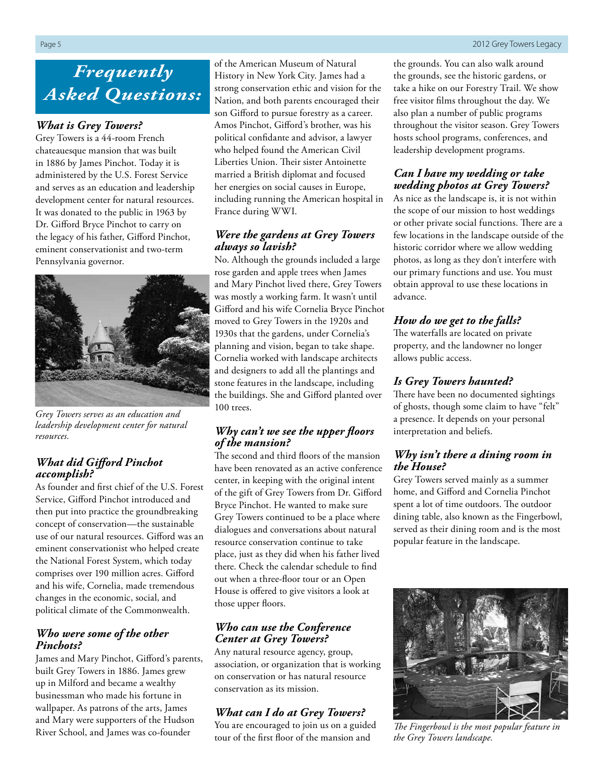# *Frequently Asked Questions:*

### *What is Grey Towers?*

Grey Towers is a 44-room French chateauesque mansion that was built in 1886 by James Pinchot. Today it is administered by the U.S. Forest Service and serves as an education and leadership development center for natural resources. It was donated to the public in 1963 by Dr. Gifford Bryce Pinchot to carry on the legacy of his father, Gifford Pinchot, eminent conservationist and two-term Pennsylvania governor.



*Grey Towers serves as an education and leadership development center for natural resources.*

### *What did Gifford Pinchot accomplish?*

As founder and first chief of the U.S. Forest Service, Gifford Pinchot introduced and then put into practice the groundbreaking concept of conservation—the sustainable use of our natural resources. Gifford was an eminent conservationist who helped create the National Forest System, which today comprises over 190 million acres. Gifford and his wife, Cornelia, made tremendous changes in the economic, social, and political climate of the Commonwealth.

### *Who were some of the other Pinchots?*

James and Mary Pinchot, Gifford's parents, built Grey Towers in 1886. James grew up in Milford and became a wealthy businessman who made his fortune in wallpaper. As patrons of the arts, James and Mary were supporters of the Hudson River School, and James was co-founder

of the American Museum of Natural History in New York City. James had a strong conservation ethic and vision for the Nation, and both parents encouraged their son Gifford to pursue forestry as a career. Amos Pinchot, Gifford's brother, was his political confidante and advisor, a lawyer who helped found the American Civil Liberties Union. Their sister Antoinette married a British diplomat and focused her energies on social causes in Europe, including running the American hospital in France during WWI.

### *Were the gardens at Grey Towers always so lavish?*

No. Although the grounds included a large rose garden and apple trees when James and Mary Pinchot lived there, Grey Towers was mostly a working farm. It wasn't until Gifford and his wife Cornelia Bryce Pinchot moved to Grey Towers in the 1920s and 1930s that the gardens, under Cornelia's planning and vision, began to take shape. Cornelia worked with landscape architects and designers to add all the plantings and stone features in the landscape, including the buildings. She and Gifford planted over 100 trees.

### *Why can't we see the upper floors of the mansion?*

The second and third floors of the mansion have been renovated as an active conference center, in keeping with the original intent of the gift of Grey Towers from Dr. Gifford Bryce Pinchot. He wanted to make sure Grey Towers continued to be a place where dialogues and conversations about natural resource conservation continue to take place, just as they did when his father lived there. Check the calendar schedule to find out when a three-floor tour or an Open House is offered to give visitors a look at those upper floors.

### *Who can use the Conference Center at Grey Towers?*

Any natural resource agency, group, association, or organization that is working on conservation or has natural resource conservation as its mission.

### *What can I do at Grey Towers?*

You are encouraged to join us on a guided tour of the first floor of the mansion and

the grounds. You can also walk around the grounds, see the historic gardens, or take a hike on our Forestry Trail. We show free visitor films throughout the day. We also plan a number of public programs throughout the visitor season. Grey Towers hosts school programs, conferences, and leadership development programs.

### *Can I have my wedding or take wedding photos at Grey Towers?*

As nice as the landscape is, it is not within the scope of our mission to host weddings or other private social functions. There are a few locations in the landscape outside of the historic corridor where we allow wedding photos, as long as they don't interfere with our primary functions and use. You must obtain approval to use these locations in advance.

### *How do we get to the falls?*

The waterfalls are located on private property, and the landowner no longer allows public access.

### *Is Grey Towers haunted?*

There have been no documented sightings of ghosts, though some claim to have "felt" a presence. It depends on your personal interpretation and beliefs.

### *Why isn't there a dining room in the House?*

Grey Towers served mainly as a summer home, and Gifford and Cornelia Pinchot spent a lot of time outdoors. The outdoor dining table, also known as the Fingerbowl, served as their dining room and is the most popular feature in the landscape.



*The Fingerbowl is the most popular feature in the Grey Towers landscape.*